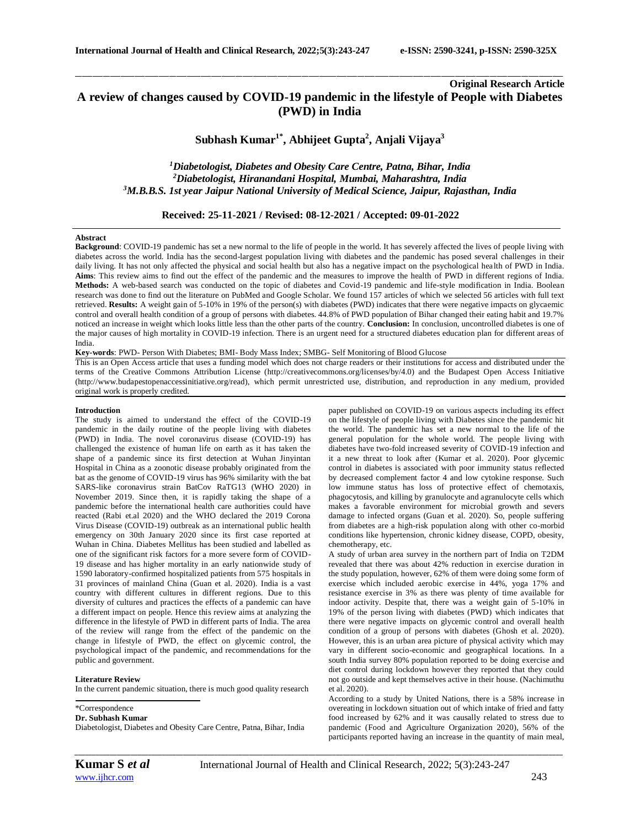# **Original Research Article A review of changes caused by COVID-19 pandemic in the lifestyle of People with Diabetes (PWD) in India**

\_\_\_\_\_\_\_\_\_\_\_\_\_\_\_\_\_\_\_\_\_\_\_\_\_\_\_\_\_\_\_\_\_\_\_\_\_\_\_\_\_\_\_\_\_\_\_\_\_\_\_\_\_\_\_\_\_\_\_\_\_\_\_\_\_\_\_\_\_\_\_\_\_\_\_\_\_\_\_\_\_\_\_\_\_\_\_\_\_\_\_\_\_\_\_\_\_\_\_\_\_\_\_\_\_\_\_\_\_\_\_\_\_\_\_\_\_\_\_\_\_\_\_\_\_\_\_\_\_\_\_\_\_\_\_\_\_\_\_\_

# **Subhash Kumar1\* , Abhijeet Gupta<sup>2</sup> , Anjali Vijaya<sup>3</sup>**

*<sup>1</sup>Diabetologist, Diabetes and Obesity Care Centre, Patna, Bihar, India <sup>2</sup>Diabetologist, Hiranandani Hospital, Mumbai, Maharashtra, India <sup>3</sup>M.B.B.S. 1st year Jaipur National University of Medical Science, Jaipur, Rajasthan, India*

# **Received: 25-11-2021 / Revised: 08-12-2021 / Accepted: 09-01-2022**

#### **Abstract**

**Background**: COVID-19 pandemic has set a new normal to the life of people in the world. It has severely affected the lives of people living with diabetes across the world. India has the second-largest population living with diabetes and the pandemic has posed several challenges in their daily living. It has not only affected the physical and social health but also has a negative impact on the psychological health of PWD in India. **Aims**: This review aims to find out the effect of the pandemic and the measures to improve the health of PWD in different regions of India. **Methods:** A web-based search was conducted on the topic of diabetes and Covid-19 pandemic and life-style modification in India. Boolean research was done to find out the literature on PubMed and Google Scholar. We found 157 articles of which we selected 56 articles with full text retrieved. Results: A weight gain of 5-10% in 19% of the person(s) with diabetes (PWD) indicates that there were negative impacts on glycaemic control and overall health condition of a group of persons with diabetes. 44.8% of PWD population of Bihar changed their eating habit and 19.7% noticed an increase in weight which looks little less than the other parts of the country. **Conclusion:** In conclusion, uncontrolled diabetes is one of the major causes of high mortality in COVID-19 infection. There is an urgent need for a structured diabetes education plan for different areas of India.

**Key-words**: PWD- Person With Diabetes; BMI- Body Mass Index; SMBG- Self Monitoring of Blood Glucose

This is an Open Access article that uses a funding model which does not charge readers or their institutions for access and distributed under the terms of the Creative Commons Attribution License (http://creativecommons.org/licenses/by/4.0) and the Budapest Open Access Initiative (http://www.budapestopenaccessinitiative.org/read), which permit unrestricted use, distribution, and reproduction in any medium, provided original work is properly credited.

#### **Introduction**

The study is aimed to understand the effect of the COVID-19 pandemic in the daily routine of the people living with diabetes (PWD) in India. The novel coronavirus disease (COVID-19) has challenged the existence of human life on earth as it has taken the shape of a pandemic since its first detection at Wuhan Jinyintan Hospital in China as a zoonotic disease probably originated from the bat as the genome of COVID-19 virus has 96% similarity with the bat SARS-like coronavirus strain BatCov RaTG13 (WHO 2020) in November 2019. Since then, it is rapidly taking the shape of a pandemic before the international health care authorities could have reacted (Rabi et.al 2020) and the WHO declared the 2019 Corona Virus Disease (COVID-19) outbreak as an international public health emergency on 30th January 2020 since its first case reported at Wuhan in China. Diabetes Mellitus has been studied and labelled as one of the significant risk factors for a more severe form of COVID-19 disease and has higher mortality in an early nationwide study of 1590 laboratory-confirmed hospitalized patients from 575 hospitals in 31 provinces of mainland China (Guan et al. 2020). India is a vast country with different cultures in different regions. Due to this diversity of cultures and practices the effects of a pandemic can have a different impact on people. Hence this review aims at analyzing the difference in the lifestyle of PWD in different parts of India. The area of the review will range from the effect of the pandemic on the change in lifestyle of PWD, the effect on glycemic control, the psychological impact of the pandemic, and recommendations for the public and government.

#### **Literature Review**

In the current pandemic situation, there is much good quality research

\*Correspondence

**Dr. Subhash Kumar**

Diabetologist, Diabetes and Obesity Care Centre, Patna, Bihar, India

paper published on COVID-19 on various aspects including its effect on the lifestyle of people living with Diabetes since the pandemic hit the world. The pandemic has set a new normal to the life of the general population for the whole world. The people living with diabetes have two-fold increased severity of COVID-19 infection and it a new threat to look after (Kumar et al. 2020). Poor glycemic control in diabetes is associated with poor immunity status reflected by decreased complement factor 4 and low cytokine response. Such low immune status has loss of protective effect of chemotaxis, phagocytosis, and killing by granulocyte and agranulocyte cells which makes a favorable environment for microbial growth and severs damage to infected organs (Guan et al. 2020). So, people suffering from diabetes are a high-risk population along with other co-morbid conditions like hypertension, chronic kidney disease, COPD, obesity, chemotherapy, etc.

A study of urban area survey in the northern part of India on T2DM revealed that there was about 42% reduction in exercise duration in the study population, however, 62% of them were doing some form of exercise which included aerobic exercise in 44%, yoga 17% and resistance exercise in 3% as there was plenty of time available for indoor activity. Despite that, there was a weight gain of 5-10% in 19% of the person living with diabetes (PWD) which indicates that there were negative impacts on glycemic control and overall health condition of a group of persons with diabetes (Ghosh et al. 2020). However, this is an urban area picture of physical activity which may vary in different socio-economic and geographical locations. In a south India survey 80% population reported to be doing exercise and diet control during lockdown however they reported that they could not go outside and kept themselves active in their house. (Nachimuthu et al. 2020).

According to a study by United Nations, there is a 58% increase in overeating in lockdown situation out of which intake of fried and fatty food increased by 62% and it was causally related to stress due to pandemic (Food and Agriculture Organization 2020), 56% of the participants reported having an increase in the quantity of main meal,

*\_\_\_\_\_\_\_\_\_\_\_\_\_\_\_\_\_\_\_\_\_\_\_\_\_\_\_\_\_\_\_\_\_\_\_\_\_\_\_\_\_\_\_\_\_\_\_\_\_\_\_\_\_\_\_\_\_\_\_\_\_\_\_\_\_\_\_\_\_\_\_\_\_\_\_\_\_\_\_\_\_\_\_\_\_\_\_\_\_\_\_\_\_\_\_\_\_\_\_\_\_\_\_\_\_\_\_\_\_\_\_\_\_\_\_\_\_\_\_\_\_\_\_\_\_\_\_\_\_\_\_\_\_\_\_\_\_\_\_\_*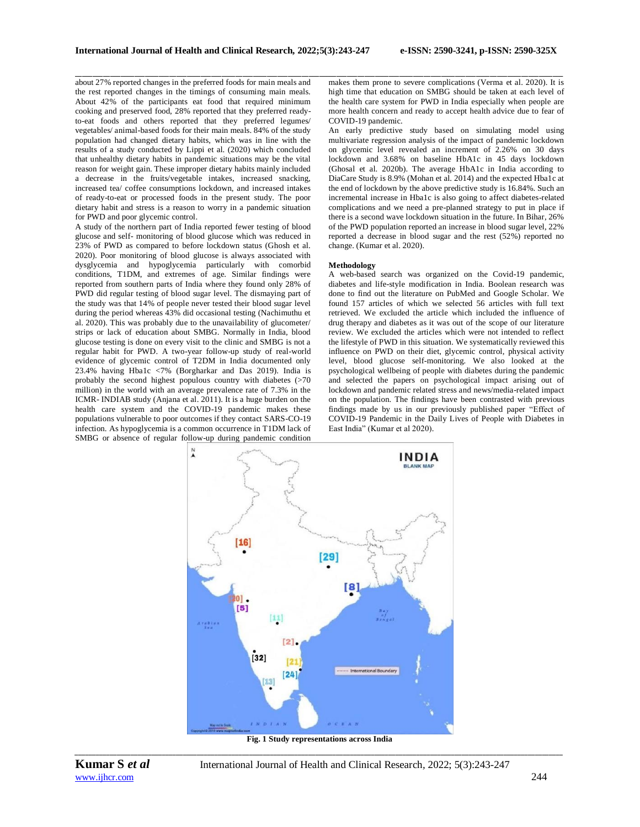about 27% reported changes in the preferred foods for main meals and the rest reported changes in the timings of consuming main meals. About 42% of the participants eat food that required minimum cooking and preserved food, 28% reported that they preferred readyto-eat foods and others reported that they preferred legumes/ vegetables/ animal-based foods for their main meals. 84% of the study population had changed dietary habits, which was in line with the results of a study conducted by Lippi et al. (2020) which concluded that unhealthy dietary habits in pandemic situations may be the vital reason for weight gain. These improper dietary habits mainly included a decrease in the fruits/vegetable intakes, increased snacking, increased tea/ coffee consumptions lockdown, and increased intakes of ready-to-eat or processed foods in the present study. The poor dietary habit and stress is a reason to worry in a pandemic situation for PWD and poor glycemic control.

A study of the northern part of India reported fewer testing of blood glucose and self- monitoring of blood glucose which was reduced in 23% of PWD as compared to before lockdown status (Ghosh et al. 2020). Poor monitoring of blood glucose is always associated with dysglycemia and hypoglycemia particularly with comorbid conditions, T1DM, and extremes of age. Similar findings were reported from southern parts of India where they found only 28% of PWD did regular testing of blood sugar level. The dismaying part of the study was that 14% of people never tested their blood sugar level during the period whereas 43% did occasional testing (Nachimuthu et al. 2020). This was probably due to the unavailability of glucometer/ strips or lack of education about SMBG. Normally in India, blood glucose testing is done on every visit to the clinic and SMBG is not a regular habit for PWD. A two-year follow-up study of real-world evidence of glycemic control of T2DM in India documented only 23.4% having Hba1c <7% (Borgharkar and Das 2019). India is probably the second highest populous country with diabetes (>70 million) in the world with an average prevalence rate of 7.3% in the ICMR- INDIAB study (Anjana et al. 2011). It is a huge burden on the health care system and the COVID-19 pandemic makes these populations vulnerable to poor outcomes if they contact SARS-CO-19 infection. As hypoglycemia is a common occurrence in T1DM lack of SMBG or absence of regular follow-up during pandemic condition

\_\_\_\_\_\_\_\_\_\_\_\_\_\_\_\_\_\_\_\_\_\_\_\_\_\_\_\_\_\_\_\_\_\_\_\_\_\_\_\_\_\_\_\_\_\_\_\_\_\_\_\_\_\_\_\_\_\_\_\_\_\_\_\_\_\_\_\_\_\_\_\_\_\_\_\_\_\_\_\_\_\_\_\_\_\_\_\_\_\_\_\_\_\_\_\_\_\_\_\_\_\_\_\_\_\_\_\_\_\_\_\_\_\_\_\_\_\_\_\_\_\_\_\_\_\_\_\_\_\_\_\_\_\_\_\_\_\_\_\_ makes them prone to severe complications (Verma et al. 2020). It is high time that education on SMBG should be taken at each level of the health care system for PWD in India especially when people are more health concern and ready to accept health advice due to fear of COVID-19 pandemic.

An early predictive study based on simulating model using multivariate regression analysis of the impact of pandemic lockdown on glycemic level revealed an increment of 2.26% on 30 days lockdown and 3.68% on baseline HbA1c in 45 days lockdown (Ghosal et al. 2020b). The average HbA1c in India according to DiaCare Study is 8.9% (Mohan et al. 2014) and the expected Hba1c at the end of lockdown by the above predictive study is 16.84%. Such an incremental increase in Hba1c is also going to affect diabetes-related complications and we need a pre-planned strategy to put in place if there is a second wave lockdown situation in the future. In Bihar, 26% of the PWD population reported an increase in blood sugar level, 22% reported a decrease in blood sugar and the rest (52%) reported no change. (Kumar et al. 2020).

## **Methodology**

A web-based search was organized on the Covid-19 pandemic, diabetes and life-style modification in India. Boolean research was done to find out the literature on PubMed and Google Scholar. We found 157 articles of which we selected 56 articles with full text retrieved. We excluded the article which included the influence of drug therapy and diabetes as it was out of the scope of our literature review. We excluded the articles which were not intended to reflect the lifestyle of PWD in this situation. We systematically reviewed this influence on PWD on their diet, glycemic control, physical activity level, blood glucose self-monitoring. We also looked at the psychological wellbeing of people with diabetes during the pandemic and selected the papers on psychological impact arising out of lockdown and pandemic related stress and news/media-related impact on the population. The findings have been contrasted with previous findings made by us in our previously published paper "Effect of COVID-19 Pandemic in the Daily Lives of People with Diabetes in East India" (Kumar et al 2020).



*\_\_\_\_\_\_\_\_\_\_\_\_\_\_\_\_\_\_\_\_\_\_\_\_\_\_\_\_\_\_\_\_\_\_\_\_\_\_\_\_\_\_\_\_\_\_\_\_\_\_\_\_\_\_\_\_\_\_\_\_\_\_\_\_\_\_\_\_\_\_\_\_\_\_\_\_\_\_\_\_\_\_\_\_\_\_\_\_\_\_\_\_\_\_\_\_\_\_\_\_\_\_\_\_\_\_\_\_\_\_\_\_\_\_\_\_\_\_\_\_\_\_\_\_\_\_\_\_\_\_\_\_\_\_\_\_\_\_\_\_* **Fig. 1 Study representations across India**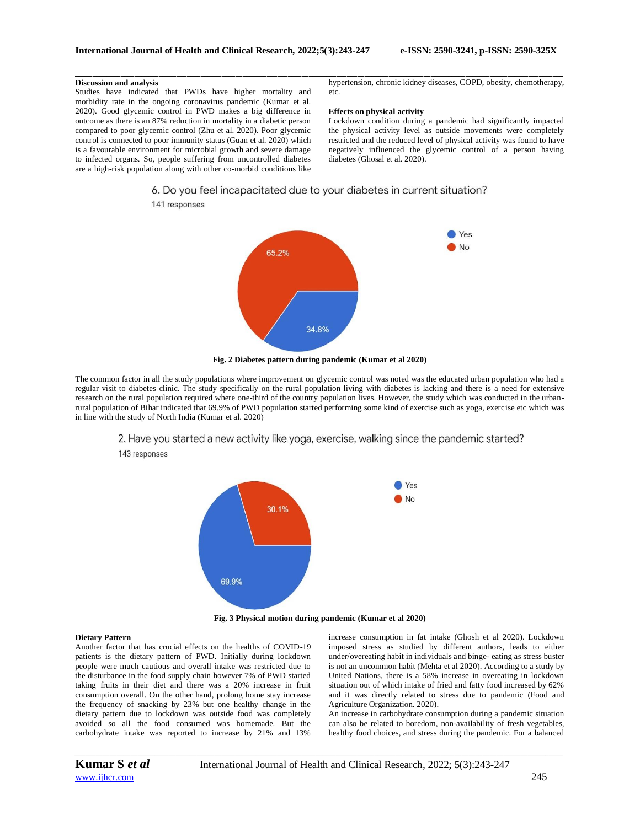#### **Discussion and analysis**

Studies have indicated that PWDs have higher mortality and morbidity rate in the ongoing coronavirus pandemic (Kumar et al. 2020). Good glycemic control in PWD makes a big difference in outcome as there is an 87% reduction in mortality in a diabetic person compared to poor glycemic control (Zhu et al. 2020). Poor glycemic control is connected to poor immunity status (Guan et al. 2020) which is a favourable environment for microbial growth and severe damage to infected organs. So, people suffering from uncontrolled diabetes are a high-risk population along with other co-morbid conditions like

141 responses

hypertension, chronic kidney diseases, COPD, obesity, chemotherapy, etc.

#### **Effects on physical activity**

Lockdown condition during a pandemic had significantly impacted the physical activity level as outside movements were completely restricted and the reduced level of physical activity was found to have negatively influenced the glycemic control of a person having diabetes (Ghosal et al. 2020).

# 6. Do you feel incapacitated due to your diabetes in current situation?

\_\_\_\_\_\_\_\_\_\_\_\_\_\_\_\_\_\_\_\_\_\_\_\_\_\_\_\_\_\_\_\_\_\_\_\_\_\_\_\_\_\_\_\_\_\_\_\_\_\_\_\_\_\_\_\_\_\_\_\_\_\_\_\_\_\_\_\_\_\_\_\_\_\_\_\_\_\_\_\_\_\_\_\_\_\_\_\_\_\_\_\_\_\_\_\_\_\_\_\_\_\_\_\_\_\_\_\_\_\_\_\_\_\_\_\_\_\_\_\_\_\_\_\_\_\_\_\_\_\_\_\_\_\_\_\_\_\_\_\_



**Fig. 2 Diabetes pattern during pandemic (Kumar et al 2020)**

The common factor in all the study populations where improvement on glycemic control was noted was the educated urban population who had a regular visit to diabetes clinic. The study specifically on the rural population living with diabetes is lacking and there is a need for extensive research on the rural population required where one-third of the country population lives. However, the study which was conducted in the urbanrural population of Bihar indicated that 69.9% of PWD population started performing some kind of exercise such as yoga, exercise etc which was in line with the study of North India (Kumar et al. 2020)



143 responses



**Fig. 3 Physical motion during pandemic (Kumar et al 2020)**

*\_\_\_\_\_\_\_\_\_\_\_\_\_\_\_\_\_\_\_\_\_\_\_\_\_\_\_\_\_\_\_\_\_\_\_\_\_\_\_\_\_\_\_\_\_\_\_\_\_\_\_\_\_\_\_\_\_\_\_\_\_\_\_\_\_\_\_\_\_\_\_\_\_\_\_\_\_\_\_\_\_\_\_\_\_\_\_\_\_\_\_\_\_\_\_\_\_\_\_\_\_\_\_\_\_\_\_\_\_\_\_\_\_\_\_\_\_\_\_\_\_\_\_\_\_\_\_\_\_\_\_\_\_\_\_\_\_\_\_\_*

#### **Dietary Pattern**

Another factor that has crucial effects on the healths of COVID-19 patients is the dietary pattern of PWD. Initially during lockdown people were much cautious and overall intake was restricted due to the disturbance in the food supply chain however 7% of PWD started taking fruits in their diet and there was a 20% increase in fruit consumption overall. On the other hand, prolong home stay increase the frequency of snacking by 23% but one healthy change in the dietary pattern due to lockdown was outside food was completely avoided so all the food consumed was homemade. But the carbohydrate intake was reported to increase by 21% and 13%

increase consumption in fat intake (Ghosh et al 2020). Lockdown imposed stress as studied by different authors, leads to either under/overeating habit in individuals and binge- eating as stress buster is not an uncommon habit (Mehta et al 2020). According to a study by United Nations, there is a 58% increase in overeating in lockdown situation out of which intake of fried and fatty food increased by 62% and it was directly related to stress due to pandemic (Food and Agriculture Organization. 2020).

An increase in carbohydrate consumption during a pandemic situation can also be related to boredom, non-availability of fresh vegetables, healthy food choices, and stress during the pandemic. For a balanced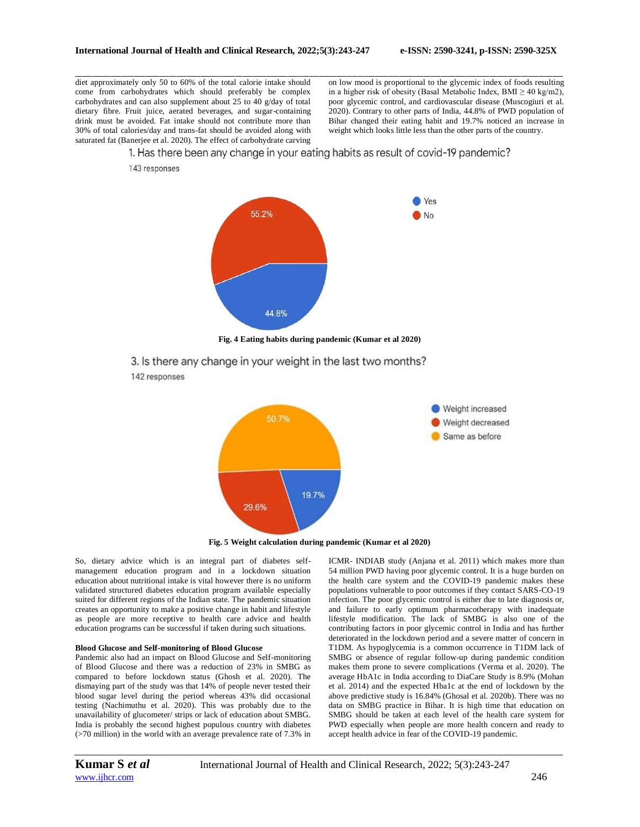diet approximately only 50 to 60% of the total calorie intake should come from carbohydrates which should preferably be complex carbohydrates and can also supplement about 25 to 40 g/day of total dietary fibre. Fruit juice, aerated beverages, and sugar-containing drink must be avoided. Fat intake should not contribute more than 30% of total calories/day and trans-fat should be avoided along with saturated fat (Banerjee et al. 2020). The effect of carbohydrate carving

143 responses

\_\_\_\_\_\_\_\_\_\_\_\_\_\_\_\_\_\_\_\_\_\_\_\_\_\_\_\_\_\_\_\_\_\_\_\_\_\_\_\_\_\_\_\_\_\_\_\_\_\_\_\_\_\_\_\_\_\_\_\_\_\_\_\_\_\_\_\_\_\_\_\_\_\_\_\_\_\_\_\_\_\_\_\_\_\_\_\_\_\_\_\_\_\_\_\_\_\_\_\_\_\_\_\_\_\_\_\_\_\_\_\_\_\_\_\_\_\_\_\_\_\_\_\_\_\_\_\_\_\_\_\_\_\_\_\_\_\_\_\_ on low mood is proportional to the glycemic index of foods resulting in a higher risk of obesity (Basal Metabolic Index, BMI  $\geq$  40 kg/m2), poor glycemic control, and cardiovascular disease (Muscogiuri et al. 2020). Contrary to other parts of India, 44.8% of PWD population of Bihar changed their eating habit and 19.7% noticed an increase in weight which looks little less than the other parts of the country.

1. Has there been any change in your eating habits as result of covid-19 pandemic?



**Fig. 4 Eating habits during pandemic (Kumar et al 2020)**

3. Is there any change in your weight in the last two months? 142 responses



**Fig. 5 Weight calculation during pandemic (Kumar et al 2020)**

So, dietary advice which is an integral part of diabetes selfmanagement education program and in a lockdown situation education about nutritional intake is vital however there is no uniform validated structured diabetes education program available especially suited for different regions of the Indian state. The pandemic situation creates an opportunity to make a positive change in habit and lifestyle as people are more receptive to health care advice and health education programs can be successful if taken during such situations.

#### **Blood Glucose and Self-monitoring of Blood Glucose**

Pandemic also had an impact on Blood Glucose and Self-monitoring of Blood Glucose and there was a reduction of 23% in SMBG as compared to before lockdown status (Ghosh et al. 2020). The dismaying part of the study was that 14% of people never tested their blood sugar level during the period whereas 43% did occasional testing (Nachimuthu et al. 2020). This was probably due to the unavailability of glucometer/ strips or lack of education about SMBG. India is probably the second highest populous country with diabetes (>70 million) in the world with an average prevalence rate of 7.3% in

ICMR- INDIAB study (Anjana et al. 2011) which makes more than 54 million PWD having poor glycemic control. It is a huge burden on the health care system and the COVID-19 pandemic makes these populations vulnerable to poor outcomes if they contact SARS-CO-19 infection. The poor glycemic control is either due to late diagnosis or, and failure to early optimum pharmacotherapy with inadequate lifestyle modification. The lack of SMBG is also one of the contributing factors in poor glycemic control in India and has further deteriorated in the lockdown period and a severe matter of concern in T1DM. As hypoglycemia is a common occurrence in T1DM lack of SMBG or absence of regular follow-up during pandemic condition makes them prone to severe complications (Verma et al. 2020). The average HbA1c in India according to DiaCare Study is 8.9% (Mohan et al. 2014) and the expected Hba1c at the end of lockdown by the above predictive study is 16.84% (Ghosal et al. 2020b). There was no data on SMBG practice in Bihar. It is high time that education on SMBG should be taken at each level of the health care system for PWD especially when people are more health concern and ready to accept health advice in fear of the COVID-19 pandemic.

[www.ijhcr.com](http://www.ijhcr.com/) 246

*\_\_\_\_\_\_\_\_\_\_\_\_\_\_\_\_\_\_\_\_\_\_\_\_\_\_\_\_\_\_\_\_\_\_\_\_\_\_\_\_\_\_\_\_\_\_\_\_\_\_\_\_\_\_\_\_\_\_\_\_\_\_\_\_\_\_\_\_\_\_\_\_\_\_\_\_\_\_\_\_\_\_\_\_\_\_\_\_\_\_\_\_\_\_\_\_\_\_\_\_\_\_\_\_\_\_\_\_\_\_\_\_\_\_\_\_\_\_\_\_\_\_\_\_\_\_\_\_\_\_\_\_\_\_\_\_\_\_\_\_*